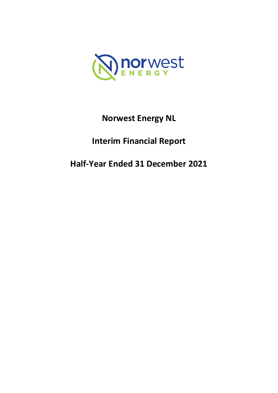

# **Norwest Energy NL**

# **Interim Financial Report**

# **Half-Year Ended 31 December 2021**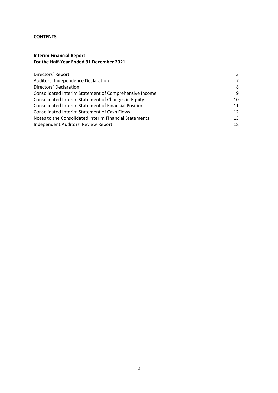#### **CONTENTS**

# **Interim Financial Report For the Half-Year Ended 31 December 2021**

| Directors' Report                                           | 3  |
|-------------------------------------------------------------|----|
| Auditors' Independence Declaration                          |    |
| Directors' Declaration                                      | 8  |
| Consolidated Interim Statement of Comprehensive Income      | 9  |
| Consolidated Interim Statement of Changes in Equity         | 10 |
| <b>Consolidated Interim Statement of Financial Position</b> | 11 |
| Consolidated Interim Statement of Cash Flows                | 12 |
| Notes to the Consolidated Interim Financial Statements      | 13 |
| Independent Auditors' Review Report                         | 18 |
|                                                             |    |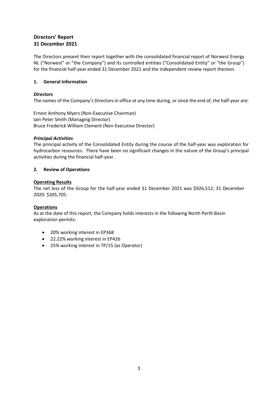# **Directors' Report 31 December 2021**

The Directors present their report together with the consolidated financial report of Norwest Energy NL ("Norwest" or "the Company") and its controlled entities ("Consolidated Entity" or "the Group") for the financial half-year ended 31 December 2021 and the independent review report thereon.

# **1. General Information**

# *Directors*

The names of the Company's Directors in office at any time during, or since the end of, the half-year are:

Ernest Anthony Myers (Non-Executive Chairman) Iain Peter Smith (Managing Director) Bruce Frederick William Clement (Non-Executive Director)

# *Principal Activities*

The principal activity of the Consolidated Entity during the course of the half-year was exploration for hydrocarbon resources. There have been no significant changes in the nature of the Group's principal activities during the financial half-year.

# **2. Review of Operations**

#### **Operating Results**

The net loss of the Group for the half-year ended 31 December 2021 was \$926,512; 31 December 2020: \$305,705.

# **Operations**

As at the date of this report, the Company holds interests in the following North Perth Basin exploration permits:

- 20% working interest in EP368
- 22.22% working interest in EP426
- 25% working interest in TP/15 (as Operator)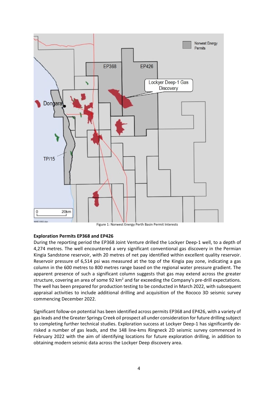

# **Exploration Permits EP368 and EP426**

During the reporting period the EP368 Joint Venture drilled the Lockyer Deep-1 well, to a depth of 4,274 metres. The well encountered a very significant conventional gas discovery in the Permian Kingia Sandstone reservoir, with 20 metres of net pay identified within excellent quality reservoir. Reservoir pressure of 6,514 psi was measured at the top of the Kingia pay zone, indicating a gas column in the 600 metres to 800 metres range based on the regional water pressure gradient. The apparent presence of such a significant column suggests that gas may extend across the greater structure, covering an area of some 92  $km<sup>2</sup>$  and far exceeding the Company's pre-drill expectations. The well has been prepared for production testing to be conducted in March 2022, with subsequent appraisal activities to include additional drilling and acquisition of the Rococo 3D seismic survey commencing December 2022.

Significant follow-on potential has been identified across permits EP368 and EP426, with a variety of gas leads and the Greater Springy Creek oil prospect all under consideration for future drilling subject to completing further technical studies. Exploration success at Lockyer Deep-1 has significantly derisked a number of gas leads, and the 148 line-kms Ringneck 2D seismic survey commenced in February 2022 with the aim of identifying locations for future exploration drilling, in addition to obtaining modern seismic data across the Lockyer Deep discovery area.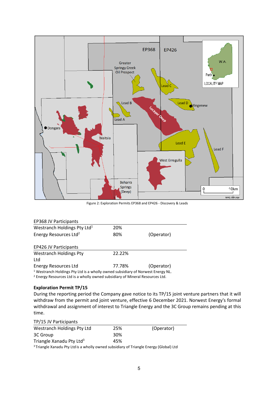

Figure 2: Exploration Permits EP368 and EP426 - Discovery & Leads

| <b>EP368 JV Participants</b>                                                               |        |            |
|--------------------------------------------------------------------------------------------|--------|------------|
| Westranch Holdings Pty Ltd <sup>1</sup>                                                    | 20%    |            |
| Energy Resources Ltd <sup>2</sup>                                                          | 80%    | (Operator) |
| <b>EP426 JV Participants</b>                                                               |        |            |
| <b>Westranch Holdings Pty</b>                                                              | 22.22% |            |
| Ltd                                                                                        |        |            |
| <b>Energy Resources Ltd</b>                                                                | 77.78% | (Operator) |
| <sup>1</sup> Westranch Holdings Pty Ltd is a wholly owned subsidiary of Norwest Energy NL. |        |            |

<sup>2</sup> Energy Resources Ltd is a wholly owned subsidiary of Mineral Resources Ltd.

# **Exploration Permit TP/15**

During the reporting period the Company gave notice to its TP/15 joint venture partners that it will withdraw from the permit and joint venture, effective 6 December 2021. Norwest Energy's formal withdrawal and assignment of interest to Triangle Energy and the 3C Group remains pending at this time.

| TP/15 JV Participants                                                                             |     |            |
|---------------------------------------------------------------------------------------------------|-----|------------|
| Westranch Holdings Pty Ltd                                                                        | 25% | (Operator) |
| 3C Group                                                                                          | 30% |            |
| Triangle Xanadu Pty Ltd <sup>3</sup>                                                              | 45% |            |
| <sup>3</sup> Triangle Xanadu Pty Ltd is a wholly owned subsidiary of Triangle Energy (Global) Ltd |     |            |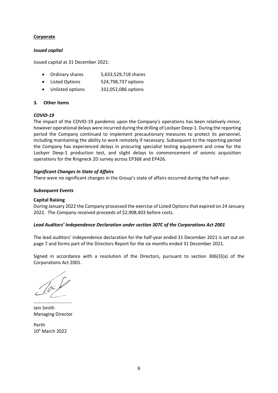# **Corporate**

#### *Issued capital*

Issued capital at 31 December 2021:

- Ordinary shares 5,633,529,718 shares
- Listed Options 524,798,737 options
- Unlisted options 332,052,086 options

#### **3. Other items**

#### *COVID-19*

The impact of the COVID-19 pandemic upon the Company's operations has been relatively minor, however operational delays were incurred during the drilling of Lockyer Deep-1. During the reporting period the Company continued to implement precautionary measures to protect its personnel, including maintaining the ability to work remotely if necessary. Subsequent to the reporting period the Company has experienced delays in procuring specialist testing equipment and crew for the Lockyer Deep-1 production test, and slight delays to commencement of seismic acquisition operations for the Ringneck 2D survey across EP368 and EP426.

#### *Significant Changes In State of Affairs*

There were no significant changes in the Group's state of affairs occurred during the half-year.

#### *Subsequent Events*

#### **Capital Raising**

During January 2022 the Company processed the exercise of Listed Options that expired on 24 January 2022. The Company received proceeds of \$2,908,403 before costs.

#### *Lead Auditors' Independence Declaration under section 307C of the Corporations Act 2001*

The lead auditors' independence declaration for the half-year ended 31 December 2021 is set out on page 7 and forms part of the Directors Report for the six months ended 31 December 2021.

Signed in accordance with a resolution of the Directors, pursuant to section 306(3)(a) of the Corporations Act 2001.

 $\mathcal{L}_{\mathcal{M}}$  . The contract of the contract of the contract of the contract of the contract of the contract of Iain Smith Managing Director

Perth 10h March 2022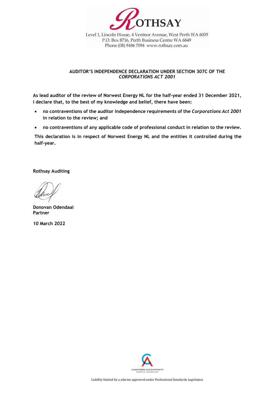

Level 1, Lincoln House, 4 Ventnor Avenue, West Perth WA 6005 P.O. Box 8716, Perth Business Centre WA 6849 Phone (08) 9486 7094 www.rothsay.com.au

#### **AUDITOR'S INDEPENDENCE DECLARATION UNDER SECTION 307C OF THE**  *CORPORATIONS ACT 2001*

**As lead auditor of the review of Norwest Energy NL for the half-year ended 31 December 2021, I declare that, to the best of my knowledge and belief, there have been:**

- **no contraventions of the auditor independence requirements of the** *Corporations Act 2001* **in relation to the review; and**
- **no contraventions of any applicable code of professional conduct in relation to the review.**

**This declaration is in respect of Norwest Energy NL and the entities it controlled during the half-year.**

**Rothsay Auditing**

**Donovan Odendaal Partner** 

**10 March 2022** 

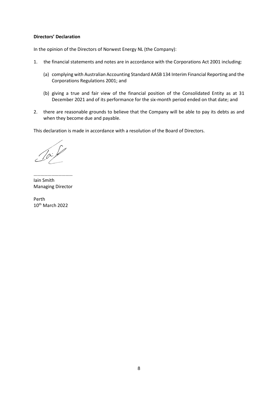#### **Directors' Declaration**

In the opinion of the Directors of Norwest Energy NL (the Company):

- 1. the financial statements and notes are in accordance with the Corporations Act 2001 including:
	- (a) complying with Australian Accounting Standard AASB 134 Interim Financial Reporting and the Corporations Regulations 2001; and
	- (b) giving a true and fair view of the financial position of the Consolidated Entity as at 31 December 2021 and of its performance for the six-month period ended on that date; and
- 2. there are reasonable grounds to believe that the Company will be able to pay its debts as and when they become due and payable.

This declaration is made in accordance with a resolution of the Board of Directors.

…………………………… Iain Smith Managing Director

Perth 10th March 2022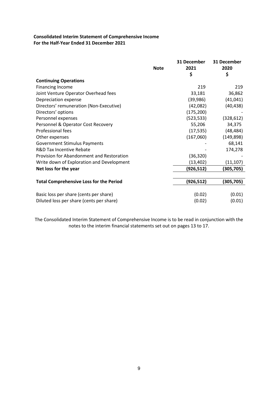# **Consolidated Interim Statement of Comprehensive Income For the Half-Year Ended 31 December 2021**

|                                                | <b>Note</b> | 31 December<br>2021<br>\$ | 31 December<br>2020<br>\$ |
|------------------------------------------------|-------------|---------------------------|---------------------------|
| <b>Continuing Operations</b>                   |             |                           |                           |
| <b>Financing Income</b>                        |             | 219                       | 219                       |
| Joint Venture Operator Overhead fees           |             | 33,181                    | 36,862                    |
| Depreciation expense                           |             | (39,986)                  | (41, 041)                 |
| Directors' remuneration (Non-Executive)        |             | (42,082)                  | (40, 438)                 |
| Directors' options                             |             | (175, 200)                |                           |
| Personnel expenses                             |             | (523, 533)                | (328, 612)                |
| Personnel & Operator Cost Recovery             |             | 55,206                    | 34,375                    |
| <b>Professional fees</b>                       |             | (17, 535)                 | (48, 484)                 |
| Other expenses                                 |             | (167,060)                 | (149, 898)                |
| <b>Government Stimulus Payments</b>            |             |                           | 68,141                    |
| <b>R&amp;D Tax Incentive Rebate</b>            |             |                           | 174,278                   |
| Provision for Abandonment and Restoration      |             | (36, 320)                 |                           |
| Write down of Exploration and Development      |             | (13, 402)                 | (11, 107)                 |
| Net loss for the year                          |             | (926, 512)                | (305,705)                 |
|                                                |             |                           |                           |
| <b>Total Comprehensive Loss for the Period</b> |             | (926, 512)                | (305,705)                 |
|                                                |             |                           |                           |
| Basic loss per share (cents per share)         |             | (0.02)                    | (0.01)                    |
| Diluted loss per share (cents per share)       |             | (0.02)                    | (0.01)                    |

The Consolidated Interim Statement of Comprehensive Income is to be read in conjunction with the notes to the interim financial statements set out on pages 13 to 17.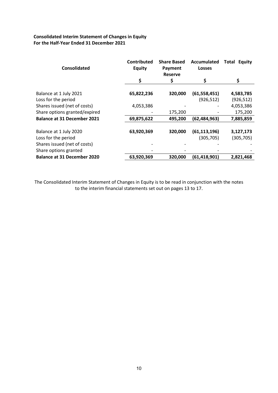# **Consolidated Interim Statement of Changes in Equity For the Half-Year Ended 31 December 2021**

| <b>Consolidated</b>                                         | <b>Contributed</b><br><b>Equity</b> | <b>Share Based</b><br>Payment<br><b>Reserve</b> | Accumulated<br><b>Losses</b> | Total<br><b>Equity</b>  |
|-------------------------------------------------------------|-------------------------------------|-------------------------------------------------|------------------------------|-------------------------|
|                                                             | \$                                  | \$                                              | \$                           | S                       |
| Balance at 1 July 2021<br>Loss for the period               | 65,822,236                          | 320,000                                         | (61, 558, 451)<br>(926, 512) | 4,583,785<br>(926, 512) |
| Shares issued (net of costs)                                | 4,053,386                           |                                                 |                              | 4,053,386               |
| Share options granted/expired                               |                                     | 175,200                                         |                              | 175,200                 |
| <b>Balance at 31 December 2021</b>                          | 69,875,622                          | 495,200                                         | (62, 484, 963)               | 7,885,859               |
| Balance at 1 July 2020<br>Loss for the period               | 63,920,369                          | 320,000                                         | (61, 113, 196)<br>(305, 705) | 3,127,173<br>(305, 705) |
| Shares issued (net of costs)                                |                                     |                                                 |                              |                         |
| Share options granted<br><b>Balance at 31 December 2020</b> | 63,920,369                          | 320,000                                         | (61, 418, 901)               | 2,821,468               |

The Consolidated Interim Statement of Changes in Equity is to be read in conjunction with the notes to the interim financial statements set out on pages 13 to 17.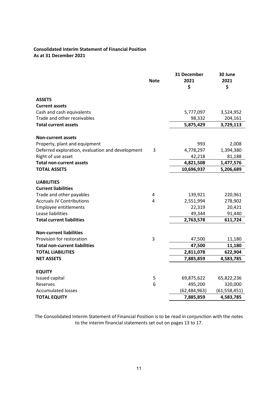# **Consolidated Interim Statement of Financial Position As at 31 December 2021**

|                                                  | <b>Note</b> | 31 December<br>2021<br>\$ | 30 June<br>2021<br>\$ |
|--------------------------------------------------|-------------|---------------------------|-----------------------|
| <b>ASSETS</b>                                    |             |                           |                       |
| <b>Current assets</b>                            |             |                           |                       |
| Cash and cash equivalents                        |             | 5,777,097                 | 3,524,952             |
| Trade and other receivables                      |             | 98,332                    | 204,161               |
| <b>Total current assets</b>                      |             | 5,875,429                 | 3,729,113             |
| <b>Non-current assets</b>                        |             |                           |                       |
| Property, plant and equipment                    |             | 993                       | 2,008                 |
| Deferred exploration, evaluation and development | 3           | 4,778,297                 | 1,394,380             |
| Right of use asset                               |             | 42,218                    | 81,188                |
| <b>Total non-current assets</b>                  |             | 4,821,508                 | 1,477,576             |
| <b>TOTAL ASSETS</b>                              |             | 10,696,937                | 5,206,689             |
| <b>LIABILITIES</b>                               |             |                           |                       |
| <b>Current liabilities</b>                       |             |                           |                       |
| Trade and other payables                         | 4           | 139,921                   | 220,961               |
| <b>Accruals JV Contributions</b>                 | 4           | 2,551,994                 | 278,902               |
| Employee entitlements                            |             | 22,319                    | 20,421                |
| Lease liabilities                                |             | 49,344                    | 91,440                |
| <b>Total current liabilities</b>                 |             | 2,763,578                 | 611,724               |
| <b>Non-current liabilities</b>                   |             |                           |                       |
| Provision for restoration                        | 3           | 47,500                    | 11,180                |
| <b>Total non-current liabilities</b>             |             | 47,500                    | 11,180                |
| <b>TOTAL LIABILITIES</b>                         |             | 2,811,078                 | 622,904               |
| <b>NET ASSETS</b>                                |             | 7,885,859                 | 4,583,785             |
| <b>EQUITY</b>                                    |             |                           |                       |
| Issued capital                                   | 5           | 69,875,622                | 65,822,236            |
| Reserves                                         | 6           | 495,200                   | 320,000               |
| <b>Accumulated losses</b>                        |             | (62, 484, 963)            | (61, 558, 451)        |
| <b>TOTAL EQUITY</b>                              |             | 7,885,859                 | 4,583,785             |

The Consolidated Interim Statement of Financial Position is to be read in conjunction with the notes to the interim financial statements set out on pages 13 to 17.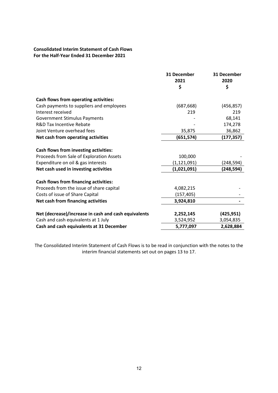# **Consolidated Interim Statement of Cash Flows For the Half-Year Ended 31 December 2021**

|                                                      | 31 December   | 31 December |
|------------------------------------------------------|---------------|-------------|
|                                                      | 2021          | 2020        |
|                                                      | \$            | \$          |
| Cash flows from operating activities:                |               |             |
| Cash payments to suppliers and employees             | (687, 668)    | (456, 857)  |
| Interest received                                    | 219           | 219         |
| <b>Government Stimulus Payments</b>                  |               | 68,141      |
| <b>R&amp;D Tax Incentive Rebate</b>                  |               | 174,278     |
| Joint Venture overhead fees                          | 35,875        | 36,862      |
| Net cash from operating activities                   | (651, 574)    | (177,357)   |
| Cash flows from investing activities:                |               |             |
| Proceeds from Sale of Exploration Assets             | 100,000       |             |
| Expenditure on oil & gas interests                   | (1, 121, 091) | (248,594)   |
| Net cash used in investing activities                | (1,021,091)   | (248,594)   |
| <b>Cash flows from financing activities:</b>         |               |             |
| Proceeds from the issue of share capital             | 4,082,215     |             |
| Costs of issue of Share Capital                      | (157, 405)    |             |
| Net cash from financing activities                   | 3,924,810     |             |
| Net (decrease)/increase in cash and cash equivalents | 2,252,145     | (425, 951)  |
| Cash and cash equivalents at 1 July                  | 3,524,952     | 3,054,835   |
| Cash and cash equivalents at 31 December             | 5,777,097     | 2,628,884   |

The Consolidated Interim Statement of Cash Flows is to be read in conjunction with the notes to the interim financial statements set out on pages 13 to 17.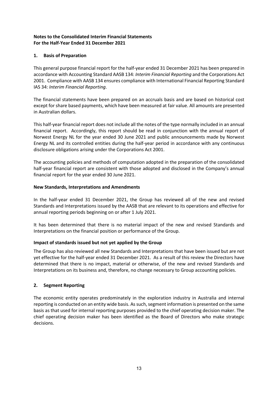# **1. Basis of Preparation**

This general purpose financial report for the half-year ended 31 December 2021 has been prepared in accordance with Accounting Standard AASB 134: *Interim Financial Reporting* and the Corporations Act 2001. Compliance with AASB 134 ensures compliance with International Financial Reporting Standard IAS 34: *Interim Financial Reporting*.

The financial statements have been prepared on an accruals basis and are based on historical cost except for share based payments, which have been measured at fair value. All amounts are presented in Australian dollars.

This half-year financial report does not include all the notes of the type normally included in an annual financial report. Accordingly, this report should be read in conjunction with the annual report of Norwest Energy NL for the year ended 30 June 2021 and public announcements made by Norwest Energy NL and its controlled entities during the half-year period in accordance with any continuous disclosure obligations arising under the Corporations Act 2001.

The accounting policies and methods of computation adopted in the preparation of the consolidated half-year financial report are consistent with those adopted and disclosed in the Company's annual financial report for the year ended 30 June 2021.

# **New Standards, Interpretations and Amendments**

In the half-year ended 31 December 2021, the Group has reviewed all of the new and revised Standards and Interpretations issued by the AASB that are relevant to its operations and effective for annual reporting periods beginning on or after 1 July 2021.

It has been determined that there is no material impact of the new and revised Standards and Interpretations on the financial position or performance of the Group.

# **Impact of standards issued but not yet applied by the Group**

The Group has also reviewed all new Standards and Interpretations that have been issued but are not yet effective for the half-year ended 31 December 2021. As a result of this review the Directors have determined that there is no impact, material or otherwise, of the new and revised Standards and Interpretations on its business and, therefore, no change necessary to Group accounting policies.

# **2. Segment Reporting**

The economic entity operates predominately in the exploration industry in Australia and internal reporting is conducted on an entity wide basis. As such, segment information is presented on the same basis as that used for internal reporting purposes provided to the chief operating decision maker. The chief operating decision maker has been identified as the Board of Directors who make strategic decisions.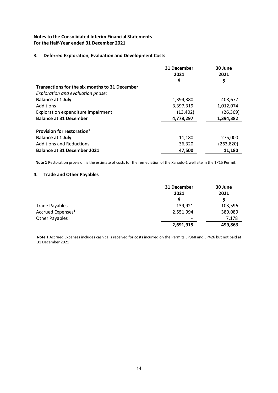#### **3. Deferred Exploration, Evaluation and Development Costs**

|                                                | 31 December<br>2021 | 30 June<br>2021 |
|------------------------------------------------|---------------------|-----------------|
|                                                | \$                  | \$              |
| Transactions for the six months to 31 December |                     |                 |
| Exploration and evaluation phase:              |                     |                 |
| <b>Balance at 1 July</b>                       | 1,394,380           | 408,677         |
| Additions                                      | 3,397,319           | 1,012,074       |
| Exploration expenditure impairment             | (13, 402)           | (26, 369)       |
| <b>Balance at 31 December</b>                  | 4,778,297           | 1,394,382       |
| Provision for restoration <sup>1</sup>         |                     |                 |
| <b>Balance at 1 July</b>                       | 11,180              | 275,000         |
| <b>Additions and Reductions</b>                | 36,320              | (263, 820)      |
| <b>Balance at 31 December 2021</b>             | 47,500              | 11,180          |

**Note 1** Restoration provision is the estimate of costs for the remediation of the Xanadu-1 well site in the TP15 Permit.

#### **4. Trade and Other Payables**

|                               | 31 December<br>2021<br><sub>S</sub> | 30 June<br>2021<br>S |
|-------------------------------|-------------------------------------|----------------------|
|                               |                                     |                      |
| <b>Trade Payables</b>         | 139,921                             | 103,596              |
| Accrued Expenses <sup>1</sup> | 2,551,994                           | 389,089              |
| <b>Other Payables</b>         | $\overline{\phantom{a}}$            | 7,178                |
|                               | 2,691,915                           | 499,863              |

**Note 1** Accrued Expenses includes cash calls received for costs incurred on the Permits EP368 and EP426 but not paid at 31 December 2021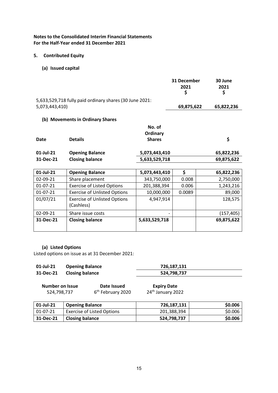#### **5. Contributed Equity**

**(a) Issued capital**

|                |                                                         |                                     | 31 December<br>2021<br>\$ | 30 June<br>2021<br>\$ |
|----------------|---------------------------------------------------------|-------------------------------------|---------------------------|-----------------------|
| 5,073,443,410) | 5,633,529,718 fully paid ordinary shares (30 June 2021: |                                     | 69,875,622                | 65,822,236            |
|                | (b) Movements in Ordinary Shares                        |                                     |                           |                       |
| Date           | <b>Details</b>                                          | No. of<br>Ordinary<br><b>Shares</b> |                           | \$                    |
| 01-Jul-21      | <b>Opening Balance</b>                                  | 5,073,443,410                       |                           | 65,822,236            |
| 31-Dec-21      | <b>Closing balance</b>                                  | 5,633,529,718                       |                           | 69,875,622            |
|                |                                                         |                                     |                           |                       |
| 01-Jul-21      | <b>Opening Balance</b>                                  | 5,073,443,410                       | \$                        | 65,822,236            |
| 02-09-21       | Share placement                                         | 343,750,000                         | 0.008                     | 2,750,000             |
| $01 - 07 - 21$ | <b>Exercise of Listed Options</b>                       | 201,388,394                         | 0.006                     | 1,243,216             |
| $01 - 07 - 21$ | <b>Exercise of Unlisted Options</b>                     | 10,000,000                          | 0.0089                    | 89,000                |
| 01/07/21       | <b>Exercise of Unlisted Options</b>                     | 4,947,914                           |                           | 128,575               |
|                | (Cashless)                                              |                                     |                           |                       |
| 02-09-21       | Share issue costs                                       |                                     |                           | (157, 405)            |
| 31-Dec-21      | <b>Closing balance</b>                                  | 5,633,529,718                       |                           | 69,875,622            |

# **(a) Listed Options**

Listed options on issue as at 31 December 2021:

| 01-Jul-21 | <b>Opening Balance</b> | 726,187,131 |
|-----------|------------------------|-------------|
| 31-Dec-21 | <b>Closing balance</b> | 524,798,737 |

| <b>Number on Issue</b> | Date Issued                   | <b>Expiry Date</b>            |
|------------------------|-------------------------------|-------------------------------|
| 524,798,737            | 6 <sup>th</sup> February 2020 | 24 <sup>th</sup> January 2022 |

| 01-Jul-21 | <b>Opening Balance</b>     | 726,187,131 | \$0.006 |
|-----------|----------------------------|-------------|---------|
| 01-07-21  | Exercise of Listed Options | 201.388.394 | \$0.006 |
| 31-Dec-21 | <b>Closing balance</b>     | 524,798,737 | \$0.006 |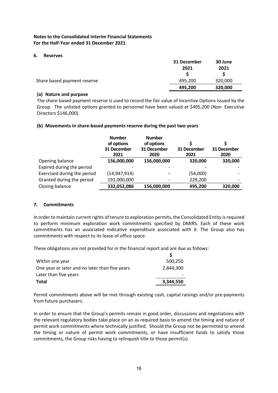#### **6. Reserves**

|                             | 31 December | 30 June |
|-----------------------------|-------------|---------|
|                             | 2021        | 2021    |
| Share based payment reserve | 495,200     | 320,000 |
|                             | 495.200     | 320,000 |

#### **(a) Nature and purpose**

The share-based payment reserve is used to record the fair value of Incentive Options issued by the Group. The unlisted options granted to personnel have been valued at \$495,200 (Non- Executive Directors \$146,000).

#### **(b) Movements in share-based payments reserve during the past two years**

|                             | <b>Number</b><br>of options<br>31 December<br>2021 | <b>Number</b><br>of options<br>31 December<br>2020                                                                                                           | 31 December<br>2021 | 31 December<br>2020 |
|-----------------------------|----------------------------------------------------|--------------------------------------------------------------------------------------------------------------------------------------------------------------|---------------------|---------------------|
| Opening balance             | 156,000,000                                        | 156,000,000                                                                                                                                                  | 320,000             | 320,000             |
| Expired during the period   |                                                    |                                                                                                                                                              |                     |                     |
| Exercised during the period | (14, 947, 914)                                     | $\hskip1.6pt\hskip1.6pt\hskip1.6pt\hskip1.6pt\hskip1.6pt\hskip1.6pt\hskip1.6pt\hskip1.6pt\hskip1.6pt\hskip1.6pt\hskip1.6pt\hskip1.6pt\hskip1.6pt\hskip1.6pt$ | (54,000)            |                     |
| Granted during the period   | 191,000,000                                        | $\overline{\phantom{a}}$                                                                                                                                     | 229,200             |                     |
| Closing balance             | 332,052,086                                        | 156,000,000                                                                                                                                                  | 495,200             | 320,000             |

# **7. Commitments**

In order to maintain current rights of tenure to exploration permits, the Consolidated Entity is required to perform minimum exploration work commitments specified by DMIRS. Each of these work commitments has an associated indicative expenditure associated with it. The Group also has commitments with respect to its lease of office space.

These obligations are not provided for in the financial report and are due as follows:

| Within one year                                | 500,250   |
|------------------------------------------------|-----------|
| One year or later and no later than five years | 2.844.300 |
| Later than five years                          |           |
| <b>Total</b>                                   | 3,344,550 |

Permit commitments above will be met through existing cash, capital raisings and/or pre-payments from future purchasers.

In order to ensure that the Group's permits remain in good order, discussions and negotiations with the relevant regulatory bodies take place on an as required basis to amend the timing and nature of permit work commitments where technically justified. Should the Group not be permitted to amend the timing or nature of permit work commitments, or have insufficient funds to satisfy those commitments, the Group risks having to relinquish title to those permit(s).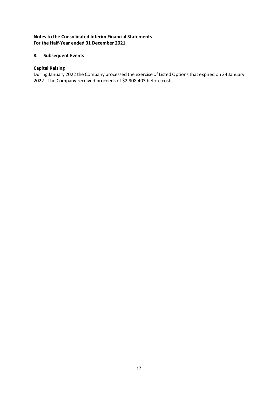# **8. Subsequent Events**

#### **Capital Raising**

During January 2022 the Company processed the exercise of Listed Options that expired on 24 January 2022. The Company received proceeds of \$2,908,403 before costs.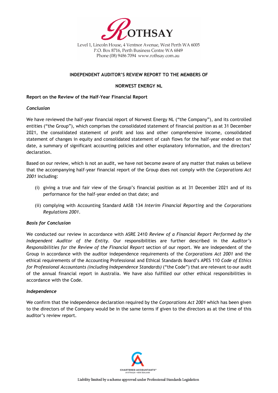

Level 1, Lincoln House, 4 Ventnor Avenue, West Perth WA 6005 P.O. Box 8716, Perth Business Centre WA 6849 Phone (08) 9486 7094 www.rothsay.com.au

#### **INDEPENDENT AUDITOR'S REVIEW REPORT TO THE MEMBERS OF**

#### **NORWEST ENERGY NL**

#### **Report on the Review of the Half-Year Financial Report**

#### *Conclusion*

We have reviewed the half-year financial report of Norwest Energy NL ("the Company"), and its controlled entities ("the Group"), which comprises the consolidated statement of financial position as at 31 December 2021, the consolidated statement of profit and loss and other comprehensive income, consolidated statement of changes in equity and consolidated statement of cash flows for the half-year ended on that date, a summary of significant accounting policies and other explanatory information, and the directors' declaration.

Based on our review, which is not an audit, we have not become aware of any matter that makes us believe that the accompanying half-year financial report of the Group does not comply with the *Corporations Act 2001* including:

- (i) giving a true and fair view of the Group's financial position as at 31 December 2021 and of its performance for the half-year ended on that date; and
- (ii) complying with Accounting Standard AASB 134 *Interim Financial Reporting* and the *Corporations Regulations 2001*.

#### *Basis for Conclusion*

We conducted our review in accordance with ASRE 2410 *Review of a Financial Report Performed by the Independent Auditor of the Entity*. Our responsibilities are further described in the *Auditor's Responsibilities for the Review of the Financial Report* section of our report. We are independent of the Group in accordance with the auditor independence requirements of the *Corporations Act 2001* and the ethical requirements of the Accounting Professional and Ethical Standards Board's APES 110 *Code of Ethics for Professional Accountants (including Independence Standards)* ("the Code") that are relevant to our audit of the annual financial report in Australia. We have also fulfilled our other ethical responsibilities in accordance with the Code.

#### *Independence*

We confirm that the independence declaration required by the *Corporations Act 2001* which has been given to the directors of the Company would be in the same terms if given to the directors as at the time of this auditor's review report.